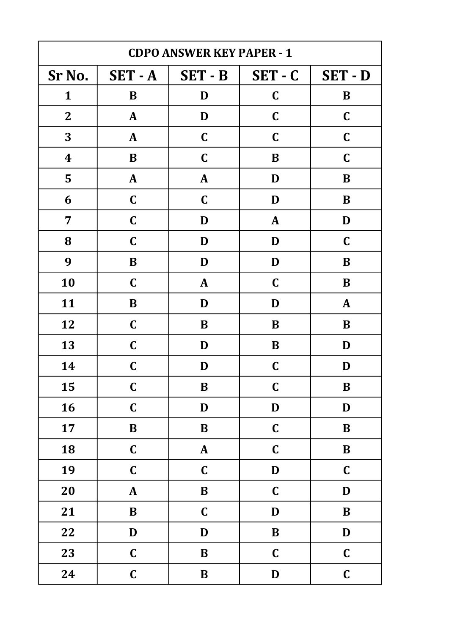| <b>CDPO ANSWER KEY PAPER - 1</b> |              |              |              |              |
|----------------------------------|--------------|--------------|--------------|--------------|
| Sr No.                           | SET-A        | $SET - B$    | $SET - C$    | SET-D        |
| $\mathbf{1}$                     | $\bf{B}$     | D            | $\mathbf C$  | B            |
| $\mathbf{2}$                     | $\mathbf{A}$ | D            | $\mathbf C$  | $\mathbf C$  |
| 3                                | $\mathbf{A}$ | $\mathbf C$  | $\mathbf C$  | $\mathbf C$  |
| $\boldsymbol{4}$                 | B            | $\mathbf C$  | B            | $\mathbf C$  |
| 5                                | $\mathbf{A}$ | $\mathbf{A}$ | D            | B            |
| 6                                | $\mathbf C$  | $\mathbf C$  | D            | B            |
| 7                                | $\mathbf C$  | D            | $\mathbf{A}$ | D            |
| 8                                | $\mathbf C$  | D            | D            | $\mathbf C$  |
| 9                                | $\bf{B}$     | D            | D            | $\bf{B}$     |
| 10                               | $\mathbf C$  | $\mathbf{A}$ | $\mathbf C$  | B            |
| 11                               | $\bf{B}$     | D            | D            | $\mathbf{A}$ |
| 12                               | $\mathbf C$  | B            | $\bf{B}$     | $\bf{B}$     |
| 13                               | $\mathbf C$  | D            | B            | D            |
| 14                               | $\mathbf C$  | D            | $\mathbf C$  | D            |
| 15                               | $\mathbf C$  | $\bf{B}$     | $\mathbf C$  | B            |
| 16                               | $\mathbf C$  | $\mathbf D$  | $\mathbf D$  | D            |
| 17                               | $\, {\bf B}$ | $\bf{B}$     | $\mathbf C$  | $\bf{B}$     |
| 18                               | $\mathbf C$  | ${\bf A}$    | $\mathbf C$  | $\bf{B}$     |
| 19                               | $\mathbf C$  | $\mathbf C$  | $\mathbf D$  | $\mathbf C$  |
| 20                               | ${\bf A}$    | $\, {\bf B}$ | $\mathbf C$  | $\mathbf D$  |
| 21                               | $\, {\bf B}$ | $\mathbf C$  | D            | $\bf{B}$     |
| 22                               | $\mathbf D$  | $\mathbf D$  | $\, {\bf B}$ | D            |
| 23                               | $\mathbf C$  | $\, {\bf B}$ | $\mathbf C$  | $\mathbf C$  |
| 24                               | $\mathbf C$  | $\bf{B}$     | $\mathbf D$  | $\mathbf C$  |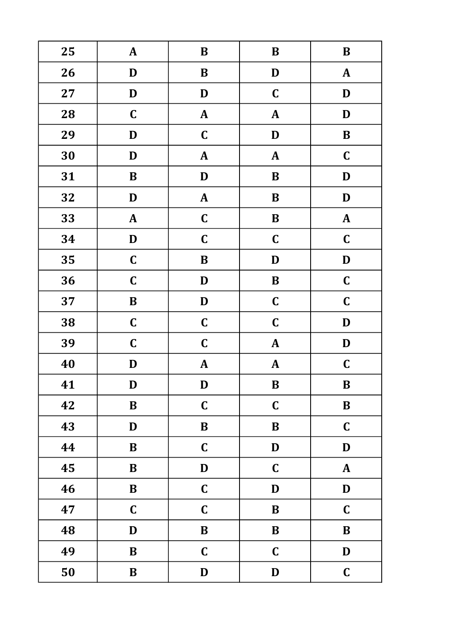| 25 | ${\bf A}$                 | $\, {\bf B}$ | $\bf{B}$     | $\bf{B}$     |
|----|---------------------------|--------------|--------------|--------------|
| 26 | $\mathbf D$               | $\bf{B}$     | D            | $\mathbf{A}$ |
| 27 | $\mathbf D$               | D            | $\mathbf C$  | $\mathbf D$  |
| 28 | $\mathbf C$               | ${\bf A}$    | $\pmb{A}$    | $\mathbf D$  |
| 29 | D                         | $\mathbf C$  | $\mathbf D$  | $\, {\bf B}$ |
| 30 | $\mathbf D$               | ${\bf A}$    | ${\bf A}$    | $\mathbf C$  |
| 31 | $\bf{B}$                  | D            | $\, {\bf B}$ | D            |
| 32 | $\mathbf D$               | ${\bf A}$    | $\bf{B}$     | $\mathbf D$  |
| 33 | ${\bf A}$                 | $\mathbf C$  | $\bf{B}$     | $\pmb{A}$    |
| 34 | $\mathbf D$               | $\mathbf C$  | $\mathbf C$  | $\mathbf C$  |
| 35 | $\mathbf C$               | $\, {\bf B}$ | $\mathbf D$  | $\mathbf D$  |
| 36 | $\mathbf C$               | D            | $\bf{B}$     | $\mathbf C$  |
| 37 | $\, {\bf B}$              | D            | $\mathbf C$  | $\mathbf C$  |
| 38 | $\mathbf C$               | $\mathbf C$  | $\mathbf C$  | $\mathbf D$  |
| 39 | $\mathbf C$               | $\mathbf C$  | $\pmb{A}$    | $\mathbf D$  |
| 40 | D                         | ${\bf A}$    | ${\bf A}$    | $\mathbf C$  |
| 41 | D                         | D            | B            | B            |
| 42 | $\, {\bf B}$              | $\mathbf C$  | $\mathbf C$  | $\, {\bf B}$ |
| 43 | $\mathbf D$               | $\, {\bf B}$ | $\, {\bf B}$ | $\mathbf C$  |
| 44 | $\bf{B}$                  | $\mathbf C$  | $\mathbf D$  | $\mathbf D$  |
| 45 | $\, {\bf B}$              | $\mathbf D$  | $\mathbf C$  | ${\bf A}$    |
| 46 | $\bf{B}$                  | $\mathbf C$  | $\mathbf D$  | $\mathbf D$  |
| 47 | $\mathbf C$               | $\mathbf C$  | $\, {\bf B}$ | $\mathbf C$  |
| 48 | $\boldsymbol{\mathsf{D}}$ | $\bf{B}$     | $\bf{B}$     | $\, {\bf B}$ |
| 49 | $\, {\bf B}$              | $\mathbf C$  | $\mathbf C$  | $\mathbf D$  |
| 50 | $\, {\bf B}$              | $\mathbf D$  | $\mathbf D$  | $\mathbf C$  |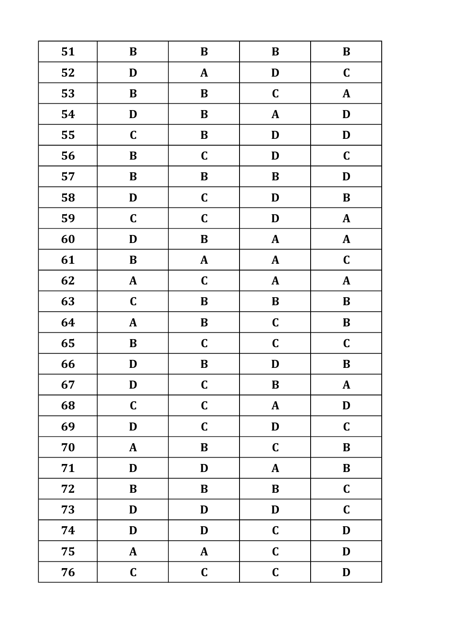| 51 | $\, {\bf B}$ | $\, {\bf B}$ | $\, {\bf B}$ | $\, {\bf B}$  |
|----|--------------|--------------|--------------|---------------|
| 52 | $\mathbf D$  | $\mathbf{A}$ | $\mathbf D$  | $\mathbf C$   |
| 53 | $\bf{B}$     | $\bf{B}$     | $\mathbf C$  | $\mathbf{A}$  |
| 54 | $\mathbf D$  | $\, {\bf B}$ | $\pmb{A}$    | $\mathbf D$   |
| 55 | $\mathbf C$  | $\, {\bf B}$ | $\mathbf D$  | $\mathbf D$   |
| 56 | $\, {\bf B}$ | $\mathbf C$  | D            | $\mathbf C$   |
| 57 | $\bf{B}$     | $\, {\bf B}$ | $\, {\bf B}$ | D             |
| 58 | $\mathbf D$  | $\mathbf C$  | D            | $\bf{B}$      |
| 59 | $\mathbf C$  | $\mathbf C$  | D            | ${\bf A}$     |
| 60 | $\mathbf D$  | $\bf{B}$     | $\pmb{A}$    | $\pmb{A}$     |
| 61 | $\, {\bf B}$ | ${\bf A}$    | $\pmb{A}$    | $\mathbf C$   |
| 62 | ${\bf A}$    | $\mathbf C$  | $\pmb{A}$    | $\mathbf{A}$  |
| 63 | $\mathbf C$  | $\bf{B}$     | $\, {\bf B}$ | $\bf{B}$      |
| 64 | ${\bf A}$    | $\, {\bf B}$ | $\mathbf C$  | $\, {\bf B}$  |
| 65 | $\, {\bf B}$ | $\mathbf C$  | $\mathbf C$  | $\mathbf C$   |
| 66 | D            | B            | D            | $\bf{B}$      |
| 67 | D            | $\mathbf C$  | B            | $\mathbf{A}$  |
| 68 | $\mathbf C$  | $\mathbf C$  | ${\bf A}$    | $\mathbf D$   |
| 69 | $\mathbf D$  | $\mathbf C$  | $\mathbf D$  | $\mathbf C$   |
| 70 | ${\bf A}$    | ${\bf B}$    | $\mathbf C$  | $\bf{B}$      |
| 71 | $\mathbf D$  | D            | ${\bf A}$    | $\bf{B}$      |
| 72 | $\, {\bf B}$ | $\bf{B}$     | $\, {\bf B}$ | $\mathbf C$   |
| 73 | D            | D            | $\mathbf D$  | $\mathbf C$   |
| 74 | $\mathbf D$  | $\mathbf D$  | $\mathbf C$  | $\mathbf D$   |
| 75 | ${\bf A}$    | ${\bf A}$    | $\mathbf C$  | $\mathbf D$   |
| 76 | $\mathbf C$  | $\mathbf C$  | $\mathbf C$  | $\mathbf{D}%$ |